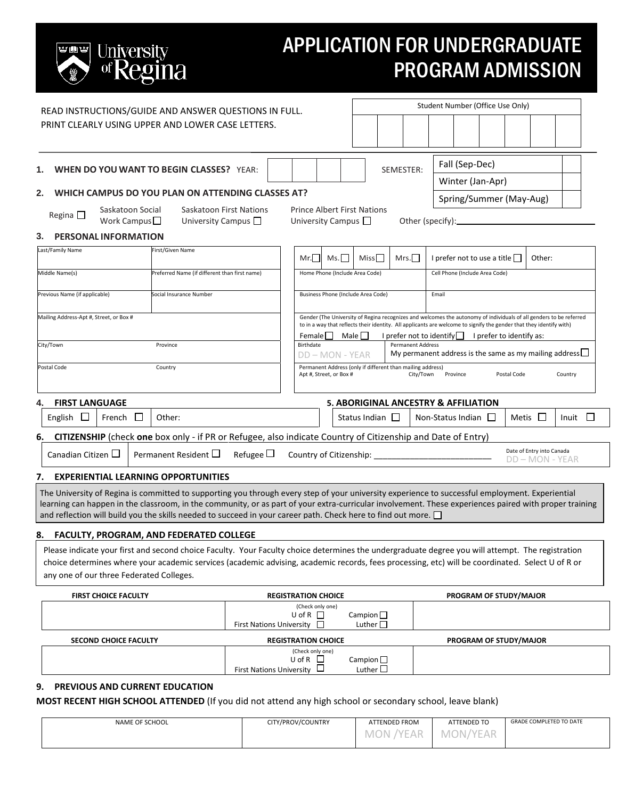# University<br>of Regina 电雷耳

# APPLICATION FOR UNDERGRADUATE PROGRAM ADMISSION

|                                                                                                                                                                                                                                                                                                                                                                                                                           |                                                   |                                 | Student Number (Office Use Only)                                                                                                                                                                                                                                                                                            |                                                                                                 |                                       |  |                        |                                             |          |                                    |             |              |              |  |
|---------------------------------------------------------------------------------------------------------------------------------------------------------------------------------------------------------------------------------------------------------------------------------------------------------------------------------------------------------------------------------------------------------------------------|---------------------------------------------------|---------------------------------|-----------------------------------------------------------------------------------------------------------------------------------------------------------------------------------------------------------------------------------------------------------------------------------------------------------------------------|-------------------------------------------------------------------------------------------------|---------------------------------------|--|------------------------|---------------------------------------------|----------|------------------------------------|-------------|--------------|--------------|--|
| READ INSTRUCTIONS/GUIDE AND ANSWER QUESTIONS IN FULL.<br>PRINT CLEARLY USING UPPER AND LOWER CASE LETTERS.                                                                                                                                                                                                                                                                                                                |                                                   |                                 |                                                                                                                                                                                                                                                                                                                             |                                                                                                 |                                       |  |                        |                                             |          |                                    |             |              |              |  |
| <b>WHEN DO YOU WANT TO BEGIN CLASSES?</b> YEAR:<br>1.                                                                                                                                                                                                                                                                                                                                                                     |                                                   |                                 |                                                                                                                                                                                                                                                                                                                             | Fall (Sep-Dec)<br>SEMESTER:                                                                     |                                       |  |                        |                                             |          |                                    |             |              |              |  |
| 2.                                                                                                                                                                                                                                                                                                                                                                                                                        | WHICH CAMPUS DO YOU PLAN ON ATTENDING CLASSES AT? |                                 |                                                                                                                                                                                                                                                                                                                             |                                                                                                 |                                       |  |                        | Winter (Jan-Apr)<br>Spring/Summer (May-Aug) |          |                                    |             |              |              |  |
| Saskatoon Social<br>Regina $\square$<br>Work Campus $\square$<br><b>PERSONAL INFORMATION</b><br>3.                                                                                                                                                                                                                                                                                                                        | University Campus $\Box$                          | Saskatoon First Nations         | <b>Prince Albert First Nations</b><br>University Campus                                                                                                                                                                                                                                                                     |                                                                                                 |                                       |  |                        | Other (specify): <u>contained</u>           |          |                                    |             |              |              |  |
| Last/Family Name                                                                                                                                                                                                                                                                                                                                                                                                          | First/Given Name                                  |                                 |                                                                                                                                                                                                                                                                                                                             |                                                                                                 |                                       |  |                        |                                             |          |                                    |             |              |              |  |
|                                                                                                                                                                                                                                                                                                                                                                                                                           |                                                   |                                 | Mr.                                                                                                                                                                                                                                                                                                                         | Ms.                                                                                             | Miss <sub>I</sub>                     |  | Mrs.                   |                                             |          | I prefer not to use a title $\Box$ |             | Other:       |              |  |
| Middle Name(s)                                                                                                                                                                                                                                                                                                                                                                                                            | Preferred Name (if different than first name)     |                                 | Home Phone (Include Area Code)                                                                                                                                                                                                                                                                                              |                                                                                                 |                                       |  |                        | Cell Phone (Include Area Code)              |          |                                    |             |              |              |  |
| Previous Name (if applicable)                                                                                                                                                                                                                                                                                                                                                                                             | Social Insurance Number                           |                                 |                                                                                                                                                                                                                                                                                                                             | Business Phone (Include Area Code)                                                              |                                       |  |                        | Email                                       |          |                                    |             |              |              |  |
| Mailing Address-Apt #, Street, or Box #                                                                                                                                                                                                                                                                                                                                                                                   |                                                   |                                 | Gender (The University of Regina recognizes and welcomes the autonomy of individuals of all genders to be referred<br>to in a way that reflects their identity. All applicants are welcome to signify the gender that they identify with)<br>Male    <br>I prefer not to identify $\Box$ I prefer to identify as:<br>Female |                                                                                                 |                                       |  |                        |                                             |          |                                    |             |              |              |  |
| City/Town                                                                                                                                                                                                                                                                                                                                                                                                                 | Province                                          |                                 | Birthdate<br><b>Permanent Address</b><br>My permanent address is the same as my mailing address $\Box$<br>DD - MON - YEAR                                                                                                                                                                                                   |                                                                                                 |                                       |  |                        |                                             |          |                                    |             |              |              |  |
| Postal Code                                                                                                                                                                                                                                                                                                                                                                                                               | Country                                           |                                 | Permanent Address (only if different than mailing address)<br>Apt #, Street, or Box #                                                                                                                                                                                                                                       |                                                                                                 |                                       |  | City/Town              |                                             | Province |                                    | Postal Code |              | Country      |  |
| <b>FIRST LANGUAGE</b><br>4.                                                                                                                                                                                                                                                                                                                                                                                               |                                                   |                                 |                                                                                                                                                                                                                                                                                                                             |                                                                                                 | 5. ABORIGINAL ANCESTRY & AFFILIATION  |  |                        |                                             |          |                                    |             |              |              |  |
| English $\Box$<br>French $\Box$                                                                                                                                                                                                                                                                                                                                                                                           | Other:                                            |                                 |                                                                                                                                                                                                                                                                                                                             |                                                                                                 | Status Indian $\Box$                  |  |                        | Non-Status Indian $\Box$                    |          |                                    |             | Metis $\Box$ | Inuit $\Box$ |  |
| CITIZENSHIP (check one box only - if PR or Refugee, also indicate Country of Citizenship and Date of Entry)<br>6.                                                                                                                                                                                                                                                                                                         |                                                   |                                 |                                                                                                                                                                                                                                                                                                                             |                                                                                                 |                                       |  |                        |                                             |          |                                    |             |              |              |  |
| Permanent Resident $\square$<br>Canadian Citizen $\Box$<br>Refugee $\Box$                                                                                                                                                                                                                                                                                                                                                 |                                                   |                                 |                                                                                                                                                                                                                                                                                                                             | Date of Entry into Canada<br>Country of Citizenship: Country of Citizenship:<br>DD - MON - YEAR |                                       |  |                        |                                             |          |                                    |             |              |              |  |
| 7.                                                                                                                                                                                                                                                                                                                                                                                                                        | <b>EXPERIENTIAL LEARNING OPPORTUNITIES</b>        |                                 |                                                                                                                                                                                                                                                                                                                             |                                                                                                 |                                       |  |                        |                                             |          |                                    |             |              |              |  |
| The University of Regina is committed to supporting you through every step of your university experience to successful employment. Experiential<br>learning can happen in the classroom, in the community, or as part of your extra-curricular involvement. These experiences paired with proper training<br>and reflection will build you the skills needed to succeed in your career path. Check here to find out more. |                                                   |                                 |                                                                                                                                                                                                                                                                                                                             |                                                                                                 |                                       |  |                        |                                             |          |                                    |             |              |              |  |
| 8.                                                                                                                                                                                                                                                                                                                                                                                                                        | <b>FACULTY, PROGRAM, AND FEDERATED COLLEGE</b>    |                                 |                                                                                                                                                                                                                                                                                                                             |                                                                                                 |                                       |  |                        |                                             |          |                                    |             |              |              |  |
| Please indicate your first and second choice Faculty. Your Faculty choice determines the undergraduate degree you will attempt. The registration<br>choice determines where your academic services (academic advising, academic records, fees processing, etc) will be coordinated. Select U of R or<br>any one of our three Federated Colleges.                                                                          |                                                   |                                 |                                                                                                                                                                                                                                                                                                                             |                                                                                                 |                                       |  |                        |                                             |          |                                    |             |              |              |  |
| FIRST CHOICE FACULTY                                                                                                                                                                                                                                                                                                                                                                                                      |                                                   | <b>REGISTRATION CHOICE</b>      |                                                                                                                                                                                                                                                                                                                             |                                                                                                 | PROGRAM OF STUDY/MAJOR                |  |                        |                                             |          |                                    |             |              |              |  |
|                                                                                                                                                                                                                                                                                                                                                                                                                           |                                                   | First Nations University $\Box$ | (Check only one)<br>$U$ of R $\Box$                                                                                                                                                                                                                                                                                         |                                                                                                 | Campion $\Box$<br>Luther $\square$    |  |                        |                                             |          |                                    |             |              |              |  |
| SECOND CHOICE FACULTY                                                                                                                                                                                                                                                                                                                                                                                                     |                                                   | <b>REGISTRATION CHOICE</b>      |                                                                                                                                                                                                                                                                                                                             |                                                                                                 |                                       |  | PROGRAM OF STUDY/MAJOR |                                             |          |                                    |             |              |              |  |
|                                                                                                                                                                                                                                                                                                                                                                                                                           |                                                   | First Nations University $\Box$ | (Check only one)<br>$U$ of R $\Box$                                                                                                                                                                                                                                                                                         |                                                                                                 | Campion $\square$<br>Luther $\square$ |  |                        |                                             |          |                                    |             |              |              |  |
| PREVIOUS AND CURRENT EDUCATION<br>9.                                                                                                                                                                                                                                                                                                                                                                                      |                                                   |                                 |                                                                                                                                                                                                                                                                                                                             |                                                                                                 |                                       |  |                        |                                             |          |                                    |             |              |              |  |

### **MOST RECENT HIGH SCHOOL ATTENDED** (If you did not attend any high school or secondary school, leave blank)

| NAME OF SCHOOL | CITY/PROV/COUNTRY | <b>ATTENDED FROM</b>         | ATTENDED TO           | <b>GRADE COMPLETED TO DATE</b> |
|----------------|-------------------|------------------------------|-----------------------|--------------------------------|
|                |                   | MON<br>/YF∆R.<br>Separate of | -MO<br>/YFAR<br>) N / |                                |